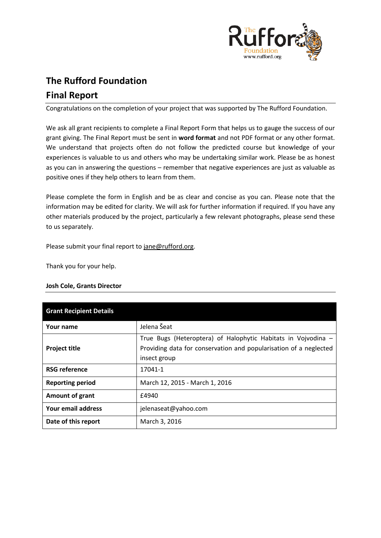

# **The Rufford Foundation Final Report**

Congratulations on the completion of your project that was supported by The Rufford Foundation.

We ask all grant recipients to complete a Final Report Form that helps us to gauge the success of our grant giving. The Final Report must be sent in **word format** and not PDF format or any other format. We understand that projects often do not follow the predicted course but knowledge of your experiences is valuable to us and others who may be undertaking similar work. Please be as honest as you can in answering the questions – remember that negative experiences are just as valuable as positive ones if they help others to learn from them.

Please complete the form in English and be as clear and concise as you can. Please note that the information may be edited for clarity. We will ask for further information if required. If you have any other materials produced by the project, particularly a few relevant photographs, please send these to us separately.

Please submit your final report to [jane@rufford.org.](mailto:jane@rufford.org)

Thank you for your help.

## **Josh Cole, Grants Director**

| <b>Grant Recipient Details</b> |                                                                                                                                                    |  |  |  |  |
|--------------------------------|----------------------------------------------------------------------------------------------------------------------------------------------------|--|--|--|--|
| Your name                      | Jelena Šeat                                                                                                                                        |  |  |  |  |
| <b>Project title</b>           | True Bugs (Heteroptera) of Halophytic Habitats in Vojvodina -<br>Providing data for conservation and popularisation of a neglected<br>insect group |  |  |  |  |
| <b>RSG reference</b>           | 17041-1                                                                                                                                            |  |  |  |  |
| <b>Reporting period</b>        | March 12, 2015 - March 1, 2016                                                                                                                     |  |  |  |  |
| Amount of grant                | £4940                                                                                                                                              |  |  |  |  |
| Your email address             | jelenaseat@yahoo.com                                                                                                                               |  |  |  |  |
| Date of this report            | March 3, 2016                                                                                                                                      |  |  |  |  |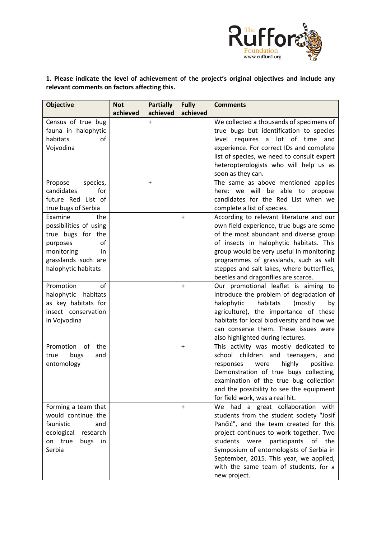

**1. Please indicate the level of achievement of the project's original objectives and include any relevant comments on factors affecting this.** 

| <b>Objective</b>       | <b>Not</b> | <b>Partially</b> | <b>Fully</b> | <b>Comments</b>                               |
|------------------------|------------|------------------|--------------|-----------------------------------------------|
|                        | achieved   | achieved         | achieved     |                                               |
| Census of true bug     |            | $+$              |              | We collected a thousands of specimens of      |
| fauna in halophytic    |            |                  |              | true bugs but identification to species       |
| habitats<br>of         |            |                  |              | lot<br>of time<br>level<br>requires a<br>and  |
| Vojvodina              |            |                  |              | experience. For correct IDs and complete      |
|                        |            |                  |              | list of species, we need to consult expert    |
|                        |            |                  |              | heteropterologists who will help us as        |
|                        |            |                  |              | soon as they can.                             |
| species,<br>Propose    |            | $+$              |              | The same as above mentioned applies           |
| for<br>candidates      |            |                  |              | here: we will be able to propose              |
| future Red List of     |            |                  |              | candidates for the Red List when we           |
| true bugs of Serbia    |            |                  |              | complete a list of species.                   |
| Examine<br>the         |            |                  | $\ddot{}$    | According to relevant literature and our      |
| possibilities of using |            |                  |              | own field experience, true bugs are some      |
| true bugs for the      |            |                  |              | of the most abundant and diverse group        |
| of<br>purposes         |            |                  |              | of insects in halophytic habitats. This       |
| monitoring<br>in       |            |                  |              | group would be very useful in monitoring      |
| grasslands such are    |            |                  |              | programmes of grasslands, such as salt        |
| halophytic habitats    |            |                  |              | steppes and salt lakes, where butterflies,    |
|                        |            |                  |              | beetles and dragonflies are scarce.           |
| Promotion<br>of        |            |                  | $\ddot{}$    | Our promotional leaflet is aiming to          |
| halophytic<br>habitats |            |                  |              | introduce the problem of degradation of       |
| as key habitats for    |            |                  |              | halophytic<br>habitats<br>(mostly<br>by       |
| insect conservation    |            |                  |              | agriculture), the importance of these         |
| in Vojvodina           |            |                  |              | habitats for local biodiversity and how we    |
|                        |            |                  |              | can conserve them. These issues were          |
|                        |            |                  |              | also highlighted during lectures.             |
| Promotion of<br>the    |            |                  | $+$          | This activity was mostly dedicated to         |
| bugs<br>and<br>true    |            |                  |              | school children and teenagers, and            |
| entomology             |            |                  |              | highly<br>positive.<br>responses<br>were      |
|                        |            |                  |              | Demonstration of true bugs collecting,        |
|                        |            |                  |              | examination of the true bug collection        |
|                        |            |                  |              | and the possibility to see the equipment      |
|                        |            |                  |              | for field work, was a real hit.               |
| Forming a team that    |            |                  | $\ddot{}$    | We had a great collaboration<br>with          |
| would continue the     |            |                  |              | students from the student society "Josif      |
| faunistic<br>and       |            |                  |              | Pančić", and the team created for this        |
| ecological<br>research |            |                  |              | project continues to work together. Two       |
| bugs<br>on true<br>in  |            |                  |              | students<br>were<br>participants<br>of<br>the |
| Serbia                 |            |                  |              | Symposium of entomologists of Serbia in       |
|                        |            |                  |              | September, 2015. This year, we applied,       |
|                        |            |                  |              | with the same team of students, for a         |
|                        |            |                  |              | new project.                                  |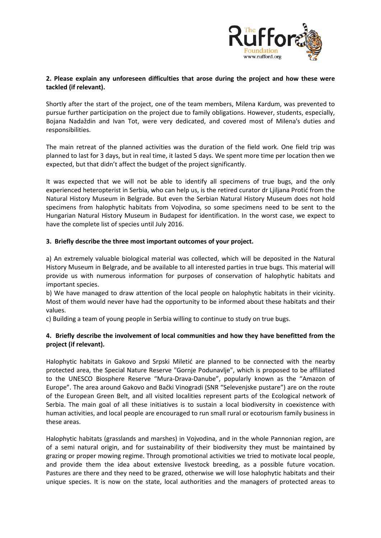

## **2. Please explain any unforeseen difficulties that arose during the project and how these were tackled (if relevant).**

Shortly after the start of the project, one of the team members, Milena Kardum, was prevented to pursue further participation on the project due to family obligations. However, students, especially, Bojana Nadaždin and Ivan Tot, were very dedicated, and covered most of Milena's duties and responsibilities.

The main retreat of the planned activities was the duration of the field work. One field trip was planned to last for 3 days, but in real time, it lasted 5 days. We spent more time per location then we expected, but that didn't affect the budget of the project significantly.

It was expected that we will not be able to identify all specimens of true bugs, and the only experienced heteropterist in Serbia, who can help us, is the retired curator dr Ljiljana Protić from the Natural History Museum in Belgrade. But even the Serbian Natural History Museum does not hold specimens from halophytic habitats from Vojvodina, so some specimens need to be sent to the Hungarian Natural History Museum in Budapest for identification. In the worst case, we expect to have the complete list of species until July 2016.

### **3. Briefly describe the three most important outcomes of your project.**

a) An extremely valuable biological material was collected, which will be deposited in the Natural History Museum in Belgrade, and be available to all interested parties in true bugs. This material will provide us with numerous information for purposes of conservation of halophytic habitats and important species.

b) We have managed to draw attention of the local people on halophytic habitats in their vicinity. Most of them would never have had the opportunity to be informed about these habitats and their values.

c) Building a team of young people in Serbia willing to continue to study on true bugs.

## **4. Briefly describe the involvement of local communities and how they have benefitted from the project (if relevant).**

Halophytic habitats in Gakovo and Srpski Miletić are planned to be connected with the nearby protected area, the Special Nature Reserve "Gornje Podunavlje", which is proposed to be affiliated to the UNESCO Biosphere Reserve "Mura-Drava-Danube", popularly known as the "Amazon of Europe". The area around Gakovo and Bački Vinogradi (SNR "Selevenjske pustare") are on the route of the European Green Belt, and all visited localities represent parts of the Ecological network of Serbia. The main goal of all these initiatives is to sustain a local biodiversity in coexistence with human activities, and local people are encouraged to run small rural or ecotourism family business in these areas.

Halophytic habitats (grasslands and marshes) in Vojvodina, and in the whole Pannonian region, are of a semi natural origin, and for sustainability of their biodiversity they must be maintained by grazing or proper mowing regime. Through promotional activities we tried to motivate local people, and provide them the idea about extensive livestock breeding, as a possible future vocation. Pastures are there and they need to be grazed, otherwise we will lose halophytic habitats and their unique species. It is now on the state, local authorities and the managers of protected areas to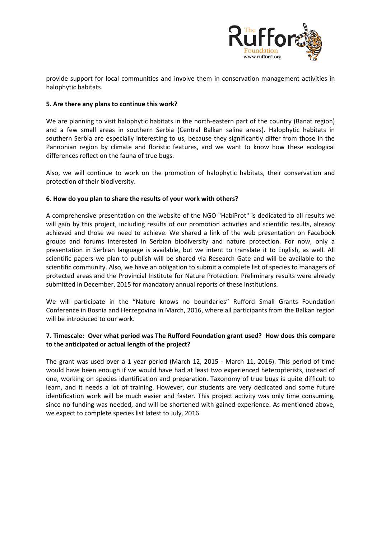

provide support for local communities and involve them in conservation management activities in halophytic habitats.

#### **5. Are there any plans to continue this work?**

We are planning to visit halophytic habitats in the north-eastern part of the country (Banat region) and a few small areas in southern Serbia (Central Balkan saline areas). Halophytic habitats in southern Serbia are especially interesting to us, because they significantly differ from those in the Pannonian region by climate and floristic features, and we want to know how these ecological differences reflect on the fauna of true bugs.

Also, we will continue to work on the promotion of halophytic habitats, their conservation and protection of their biodiversity.

### **6. How do you plan to share the results of your work with others?**

A comprehensive presentation on the website of the NGO "HabiProt" is dedicated to all results we will gain by this project, including results of our promotion activities and scientific results, already achieved and those we need to achieve. We shared a link of the web presentation on Facebook groups and forums interested in Serbian biodiversity and nature protection. For now, only a presentation in Serbian language is available, but we intent to translate it to English, as well. All scientific papers we plan to publish will be shared via Research Gate and will be available to the scientific community. Also, we have an obligation to submit a complete list of species to managers of protected areas and the Provincial Institute for Nature Protection. Preliminary results were already submitted in December, 2015 for mandatory annual reports of these institutions.

We will participate in the "Nature knows no boundaries" Rufford Small Grants Foundation Conference in Bosnia and Herzegovina in March, 2016, where all participants from the Balkan region will be introduced to our work.

### **7. Timescale: Over what period was The Rufford Foundation grant used? How does this compare to the anticipated or actual length of the project?**

The grant was used over a 1 year period (March 12, 2015 - March 11, 2016). This period of time would have been enough if we would have had at least two experienced heteropterists, instead of one, working on species identification and preparation. Taxonomy of true bugs is quite difficult to learn, and it needs a lot of training. However, our students are very dedicated and some future identification work will be much easier and faster. This project activity was only time consuming, since no funding was needed, and will be shortened with gained experience. As mentioned above, we expect to complete species list latest to July, 2016.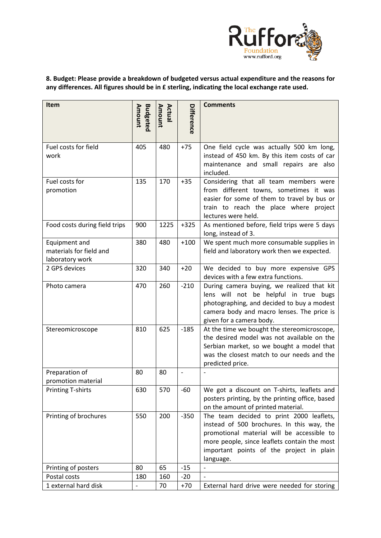

# **8. Budget: Please provide a breakdown of budgeted versus actual expenditure and the reasons for any differences. All figures should be in £ sterling, indicating the local exchange rate used.**

| Item                                                        | Budgeted<br>Amount       | Amount<br>Actual | Difference               | <b>Comments</b>                                                                                                                                                                                                                               |
|-------------------------------------------------------------|--------------------------|------------------|--------------------------|-----------------------------------------------------------------------------------------------------------------------------------------------------------------------------------------------------------------------------------------------|
| Fuel costs for field<br>work                                | 405                      | 480              | $+75$                    | One field cycle was actually 500 km long,<br>instead of 450 km. By this item costs of car<br>maintenance and small repairs are also<br>included.                                                                                              |
| Fuel costs for<br>promotion                                 | 135                      | 170              | $+35$                    | Considering that all team members were<br>from different towns, sometimes it was<br>easier for some of them to travel by bus or<br>train to reach the place where project<br>lectures were held.                                              |
| Food costs during field trips                               | 900                      | 1225             | $+325$                   | As mentioned before, field trips were 5 days<br>long, instead of 3.                                                                                                                                                                           |
| Equipment and<br>materials for field and<br>laboratory work | 380                      | 480              | $+100$                   | We spent much more consumable supplies in<br>field and laboratory work then we expected.                                                                                                                                                      |
| 2 GPS devices                                               | 320                      | 340              | $+20$                    | We decided to buy more expensive GPS<br>devices with a few extra functions.                                                                                                                                                                   |
| Photo camera                                                | 470                      | 260              | $-210$                   | During camera buying, we realized that kit<br>lens will not be helpful in true bugs<br>photographing, and decided to buy a modest<br>camera body and macro lenses. The price is<br>given for a camera body.                                   |
| Stereomicroscope                                            | 810                      | 625              | $-185$                   | At the time we bought the stereomicroscope,<br>the desired model was not available on the<br>Serbian market, so we bought a model that<br>was the closest match to our needs and the<br>predicted price.                                      |
| Preparation of                                              | 80                       | 80               | $\overline{\phantom{a}}$ |                                                                                                                                                                                                                                               |
| promotion material<br><b>Printing T-shirts</b>              | 630                      | 570              | $-60$                    | We got a discount on T-shirts, leaflets and                                                                                                                                                                                                   |
|                                                             |                          |                  |                          | posters printing, by the printing office, based<br>on the amount of printed material.                                                                                                                                                         |
| Printing of brochures                                       | 550                      | 200              | $-350$                   | The team decided to print 2000 leaflets,<br>instead of 500 brochures. In this way, the<br>promotional material will be accessible to<br>more people, since leaflets contain the most<br>important points of the project in plain<br>language. |
| Printing of posters                                         | 80                       | 65               | $-15$                    |                                                                                                                                                                                                                                               |
| Postal costs<br>1 external hard disk                        | 180                      | 160              | $-20$                    |                                                                                                                                                                                                                                               |
|                                                             | $\overline{\phantom{a}}$ | 70               | $+70$                    | External hard drive were needed for storing                                                                                                                                                                                                   |